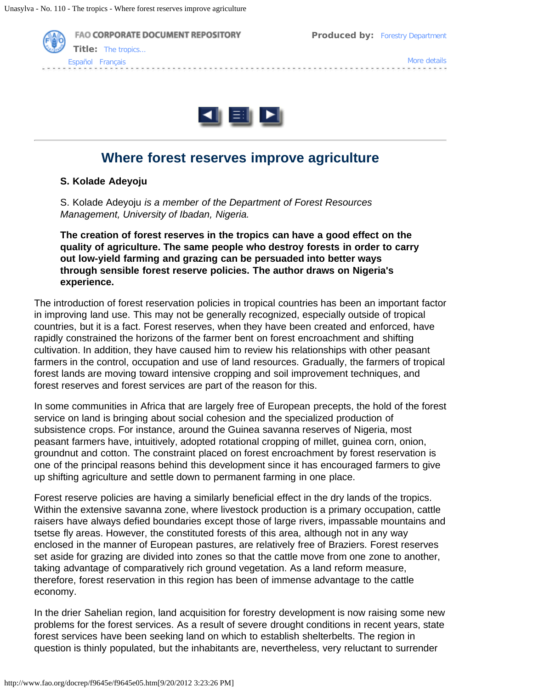



# **Where forest reserves improve agriculture**

#### **S. Kolade Adeyoju**

S. Kolade Adeyoju *is a member of the Department of Forest Resources Management, University of Ibadan, Nigeria.*

**The creation of forest reserves in the tropics can have a good effect on the quality of agriculture. The same people who destroy forests in order to carry out low-yield farming and grazing can be persuaded into better ways through sensible forest reserve policies. The author draws on Nigeria's experience.**

The introduction of forest reservation policies in tropical countries has been an important factor in improving land use. This may not be generally recognized, especially outside of tropical countries, but it is a fact. Forest reserves, when they have been created and enforced, have rapidly constrained the horizons of the farmer bent on forest encroachment and shifting cultivation. In addition, they have caused him to review his relationships with other peasant farmers in the control, occupation and use of land resources. Gradually, the farmers of tropical forest lands are moving toward intensive cropping and soil improvement techniques, and forest reserves and forest services are part of the reason for this.

In some communities in Africa that are largely free of European precepts, the hold of the forest service on land is bringing about social cohesion and the specialized production of subsistence crops. For instance, around the Guinea savanna reserves of Nigeria, most peasant farmers have, intuitively, adopted rotational cropping of millet, guinea corn, onion, groundnut and cotton. The constraint placed on forest encroachment by forest reservation is one of the principal reasons behind this development since it has encouraged farmers to give up shifting agriculture and settle down to permanent farming in one place.

Forest reserve policies are having a similarly beneficial effect in the dry lands of the tropics. Within the extensive savanna zone, where livestock production is a primary occupation, cattle raisers have always defied boundaries except those of large rivers, impassable mountains and tsetse fly areas. However, the constituted forests of this area, although not in any way enclosed in the manner of European pastures, are relatively free of Braziers. Forest reserves set aside for grazing are divided into zones so that the cattle move from one zone to another, taking advantage of comparatively rich ground vegetation. As a land reform measure, therefore, forest reservation in this region has been of immense advantage to the cattle economy.

In the drier Sahelian region, land acquisition for forestry development is now raising some new problems for the forest services. As a result of severe drought conditions in recent years, state forest services have been seeking land on which to establish shelterbelts. The region in question is thinly populated, but the inhabitants are, nevertheless, very reluctant to surrender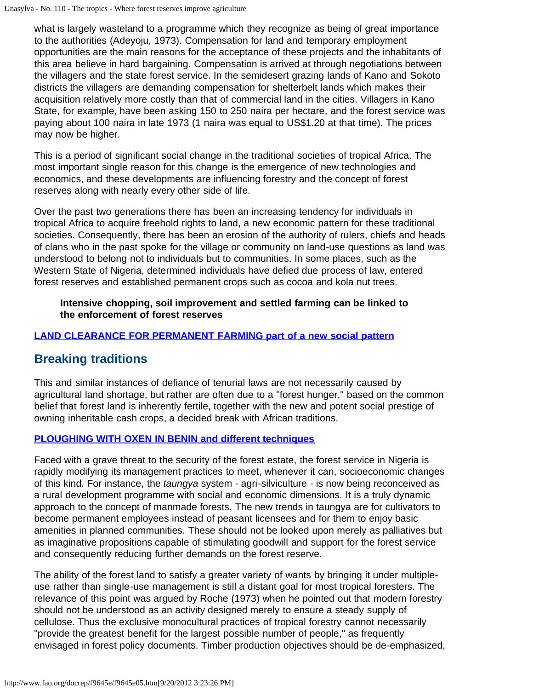what is largely wasteland to a programme which they recognize as being of great importance to the authorities (Adeyoju, 1973). Compensation for land and temporary employment opportunities are the main reasons for the acceptance of these projects and the inhabitants of this area believe in hard bargaining. Compensation is arrived at through negotiations between the villagers and the state forest service. In the semidesert grazing lands of Kano and Sokoto districts the villagers are demanding compensation for shelterbelt lands which makes their acquisition relatively more costly than that of commercial land in the cities. Villagers in Kano State, for example, have been asking 150 to 250 naira per hectare, and the forest service was paying about 100 naira in late 1973 (1 naira was equal to US\$1.20 at that time). The prices may now be higher.

This is a period of significant social change in the traditional societies of tropical Africa. The most important single reason for this change is the emergence of new technologies and economics, and these developments are influencing forestry and the concept of forest reserves along with nearly every other side of life.

Over the past two generations there has been an increasing tendency for individuals in tropical Africa to acquire freehold rights to land, a new economic pattern for these traditional societies. Consequently, there has been an erosion of the authority of rulers, chiefs and heads of clans who in the past spoke for the village or community on land-use questions as land was understood to belong not to individuals but to communities. In some places, such as the Western State of Nigeria, determined individuals have defied due process of law, entered forest reserves and established permanent crops such as cocoa and kola nut trees.

**Intensive chopping, soil improvement and settled farming can be linked to the enforcement of forest reserves**

### **[LAND CLEARANCE FOR PERMANENT FARMING part of a new social pattern](http://www.fao.org/docrep/f9645e/f9645e0g.jpg)**

## **Breaking traditions**

This and similar instances of defiance of tenurial laws are not necessarily caused by agricultural land shortage, but rather are often due to a "forest hunger," based on the common belief that forest land is inherently fertile, together with the new and potent social prestige of owning inheritable cash crops, a decided break with African traditions.

### **[PLOUGHING WITH OXEN IN BENIN and different techniques](http://www.fao.org/docrep/f9645e/f9645e0h.jpg)**

Faced with a grave threat to the security of the forest estate, the forest service in Nigeria is rapidly modifying its management practices to meet, whenever it can, socioeconomic changes of this kind. For instance, the *taungya* system - agri-silviculture - is now being reconceived as a rural development programme with social and economic dimensions. It is a truly dynamic approach to the concept of manmade forests. The new trends in taungya are for cultivators to become permanent employees instead of peasant licensees and for them to enjoy basic amenities in planned communities. These should not be looked upon merely as palliatives but as imaginative propositions capable of stimulating goodwill and support for the forest service and consequently reducing further demands on the forest reserve.

The ability of the forest land to satisfy a greater variety of wants by bringing it under multipleuse rather than single-use management is still a distant goal for most tropical foresters. The relevance of this point was argued by Roche (1973) when he pointed out that modern forestry should not be understood as an activity designed merely to ensure a steady supply of cellulose. Thus the exclusive monocultural practices of tropical forestry cannot necessarily "provide the greatest benefit for the largest possible number of people," as frequently envisaged in forest policy documents. Timber production objectives should be de-emphasized,